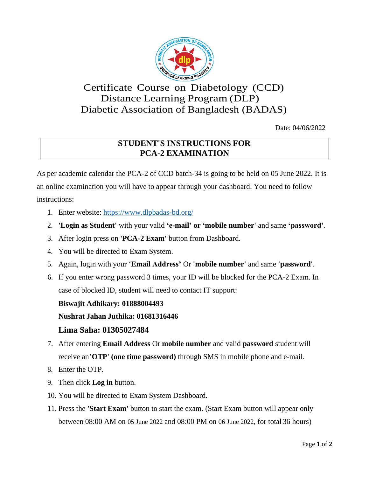

# Certificate Course on Diabetology (CCD) Distance Learning Program (DLP) Diabetic Association of Bangladesh (BADAS)

Date: 04/06/2022

## **STUDENT'S INSTRUCTIONS FOR PCA-2 EXAMINATION**

As per academic calendar the PCA-2 of CCD batch-34 is going to be held on 05 June 2022. It is an online examination you will have to appear through your dashboard. You need to follow instructions:

- 1. Enter website: https:/[/www.dlpbadas-bd.org/](http://www.dlpbadas-bd.org/)
- 2. **'Login as Student'** with your valid **'e-mail' or 'mobile number'** and same **'password'**.
- 3. After login press on **'PCA-2 Exam'** button from Dashboard.
- 4. You will be directed to Exam System.
- 5. Again, login with your '**Email Address'** Or **'mobile number'** and same **'password'**.
- 6. If you enter wrong password 3 times, your ID will be blocked for the PCA-2 Exam. In case of blocked ID, student will need to contact IT support:

### **Biswajit Adhikary: 01888004493**

### **Nushrat Jahan Juthika: 01681316446**

### **Lima Saha: 01305027484**

- 7. After entering **Email Address** Or **mobile number** and valid **password** student will receive an**'OTP' (one time password)** through SMS in mobile phone and e-mail.
- 8. Enter the OTP.
- 9. Then click **Log in** button.
- 10. You will be directed to Exam System Dashboard.
- 11. Press the **'Start Exam'** button to start the exam. (Start Exam button will appear only between 08:00 AM on 05 June 2022 and 08:00 PM on 06 June 2022, for total 36 hours)